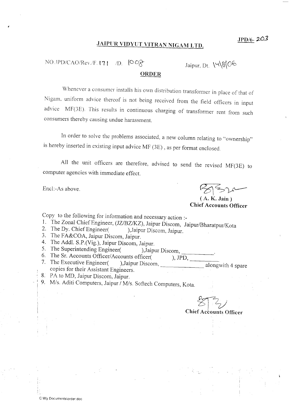## JAIPUR VIDYUT VITRAN NIGAM LTD.

 $NO. JPD/CAO/Rev./F.$  [ $71$  to  $0$   $0$   $0$ 

Jaipur. nt \'t\&\OA

## ORDER

Whenever a consumer installs his own distribution transformer in place of that of Nigam, uniform advice thercof is not being received from the field officers in input advice MF(3E). This results in continuous charging of transformer rent from such consumers thereby causing undue harassment.

In order to solve the problems associated, a new column relating to "ownership" is hereby inserted in existing input advice MF (3E), as per format enclosed

All the unit officers are therefore, advised to send the revised MF(3E) to computer agencies with immediate effect.

Encl:-As above.

\_i

 $|z| \geq$ 

 $(A, K, Jain)$ Chief Accounts Officer

copy to the following for information and necessary action :-

- 
- 
- 
- 
- 
- ), JPD,
- 1. The Zonal Chief Engineer, (JZ/BZ/KZ), Jaipur Discom, Jaipur/Bharatpur/Kota<br>
2. The Dy. Chief Engineer (17/BZ/KZ), Jaipur Discom, Jaipur.<br>
3. The FA&COA, Jaipur Discom, Jaipur.<br>
4. The Addl. S.P. (Vig.), Jaipur Discom, J 7. The Executive Engineer( copies for their Assistant Engineers.
- 8. PA to MD, Jaipur Discom, Jaipur.
- 9. M/s. Aditi Computers, Jaipur / M/s. Softech Computers, Kota.

 $2^{2}$ **Chief Accounts Officer**